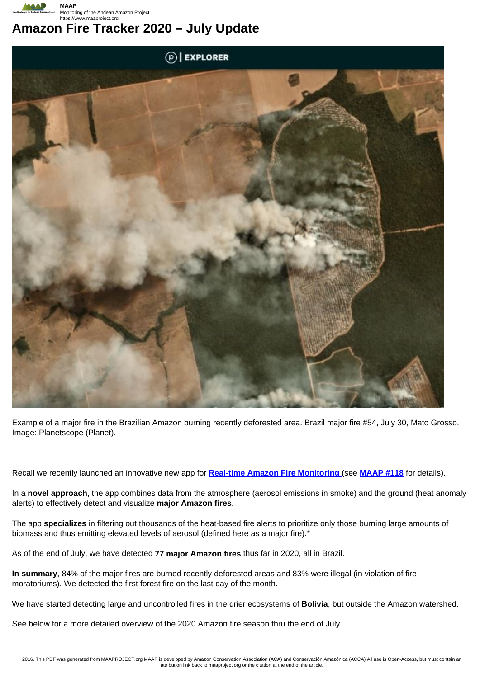

# https://www.maaproject.org **Amazon Fire Tracker 2020 – July Update**



Example of a major fire in the Brazilian Amazon burning recently deforested area. Brazil major fire #54, July 30, Mato Grosso. Image: Planetscope (Planet).

Recall we recently launched an innovative new app for **Real-time Amazon Fire Monitoring** (see **MAAP #118** for details).

In a **novel approach**, the app combines data from the atmosphere (aerosol emissions in smoke) and the ground (heat anomaly alerts) to effectively detect and visualize **major Amazon fires**.

The app **specializes** in filtering out thousands of the heat-based fire alerts to prioritize only those burning large amounts of biomass and thus emitting elevated levels of aerosol (defined here as a major fire).\*

As of the end of July, we have detected **77 major Amazon fires** thus far in 2020, all in Brazil.

**In summary**, 84% of the major fires are burned recently deforested areas and 83% were illegal (in violation of fire moratoriums). We detected the first forest fire on the last day of the month.

We have started detecting large and uncontrolled fires in the drier ecosystems of **Bolivia**, but outside the Amazon watershed.

See below for a more detailed overview of the 2020 Amazon fire season thru the end of July.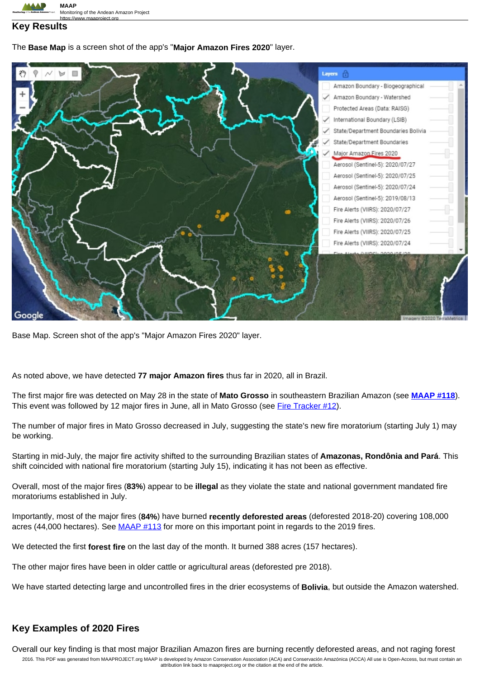

#### **ะv Results**

The **Base Map** is a screen shot of the app's "**Major Amazon Fires 2020**" layer.



Base Map. Screen shot of the app's "Major Amazon Fires 2020" layer.

As noted above, we have detected **77 major Amazon fires** thus far in 2020, all in Brazil.

The first major fire was detected on May 28 in the state of **Mato Grosso** in southeastern Brazilian Amazon (see **MAAP #118**). This event was followed by 12 major fires in June, all in Mato Grosso (see Fire Tracker #12).

The number of major fires in Mato Grosso decreased in July, suggesting the state's new fire moratorium (starting July 1) may be working.

Starting in mid-July, the major fire activity shifted to the surrounding Brazilian states of **Amazonas, Rondônia and Pará**. This shift coincided with national fire moratorium (starting July 15), indicating it has not been as effective.

Overall, most of the major fires (**83%**) appear to be **illegal** as they violate the state and national government mandated fire moratoriums established in July.

Importantly, most of the major fires (**84%**) have burned **recently deforested areas** (deforested 2018-20) covering 108,000 acres (44,000 hectares). See MAAP #113 for more on this important point in regards to the 2019 fires.

We detected the first **forest fire** on the last day of the month. It burned 388 acres (157 hectares).

The other major fires have been in older cattle or agricultural areas (deforested pre 2018).

We have started detecting large and uncontrolled fires in the drier ecosystems of **Bolivia**, but outside the Amazon watershed.

#### **Key Examples of 2020 Fires**

Overall our key finding is that most major Brazilian Amazon fires are burning recently deforested areas, and not raging forest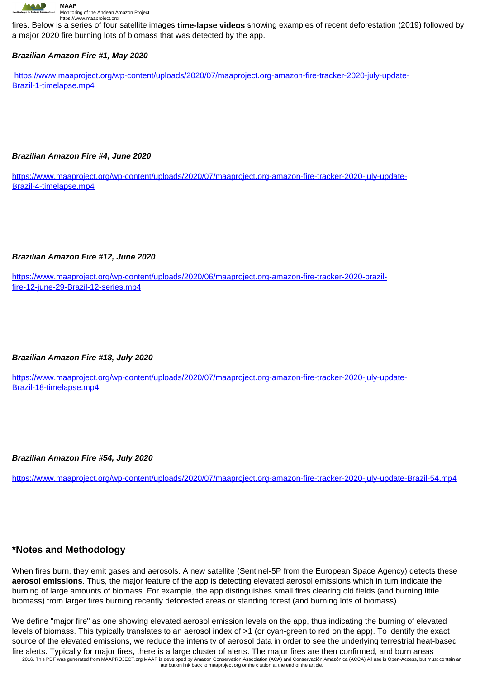

https://www.maaproject.org fires. Below is a series of four satellite images **time-lapse videos** showing examples of recent deforestation (2019) followed by a major 2020 fire burning lots of biomass that was detected by the app.

#### **Brazilian Amazon Fire #1, May 2020**

https://www.maaproject.org/wp-content/uploads/2020/07/maaproject.org-amazon-fire-tracker-2020-july-update-Brazil-1-timelapse.mp4

**Brazilian Amazon Fire #4, June 2020**

https://www.maaproject.org/wp-content/uploads/2020/07/maaproject.org-amazon-fire-tracker-2020-july-update-Brazil-4-timelapse.mp4

#### **Brazilian Amazon Fire #12, June 2020**

https://www.maaproject.org/wp-content/uploads/2020/06/maaproject.org-amazon-fire-tracker-2020-brazilfire-12-june-29-Brazil-12-series.mp4

#### **Brazilian Amazon Fire #18, July 2020**

https://www.maaproject.org/wp-content/uploads/2020/07/maaproject.org-amazon-fire-tracker-2020-july-update-Brazil-18-timelapse.mp4

**Brazilian Amazon Fire #54, July 2020**

https://www.maaproject.org/wp-content/uploads/2020/07/maaproject.org-amazon-fire-tracker-2020-july-update-Brazil-54.mp4

## **\*Notes and Methodology**

When fires burn, they emit gases and aerosols. A new satellite (Sentinel-5P from the European Space Agency) detects these **aerosol emissions**. Thus, the major feature of the app is detecting elevated aerosol emissions which in turn indicate the burning of large amounts of biomass. For example, the app distinguishes small fires clearing old fields (and burning little biomass) from larger fires burning recently deforested areas or standing forest (and burning lots of biomass).

We define "major fire" as one showing elevated aerosol emission levels on the app, thus indicating the burning of elevated levels of biomass. This typically translates to an aerosol index of >1 (or cyan-green to red on the app). To identify the exact source of the elevated emissions, we reduce the intensity of aerosol data in order to see the underlying terrestrial heat-based fire alerts. Typically for major fires, there is a large cluster of alerts. The major fires are then confirmed, and burn areas 2016. This PDF was generated from MAAPROJECT.org MAAP is developed by Amazon Conservation Association (ACA) and Conservación Amazónica (ACCA) All use is Open-Access, but must contain an<br>attribution link back to maaproject.